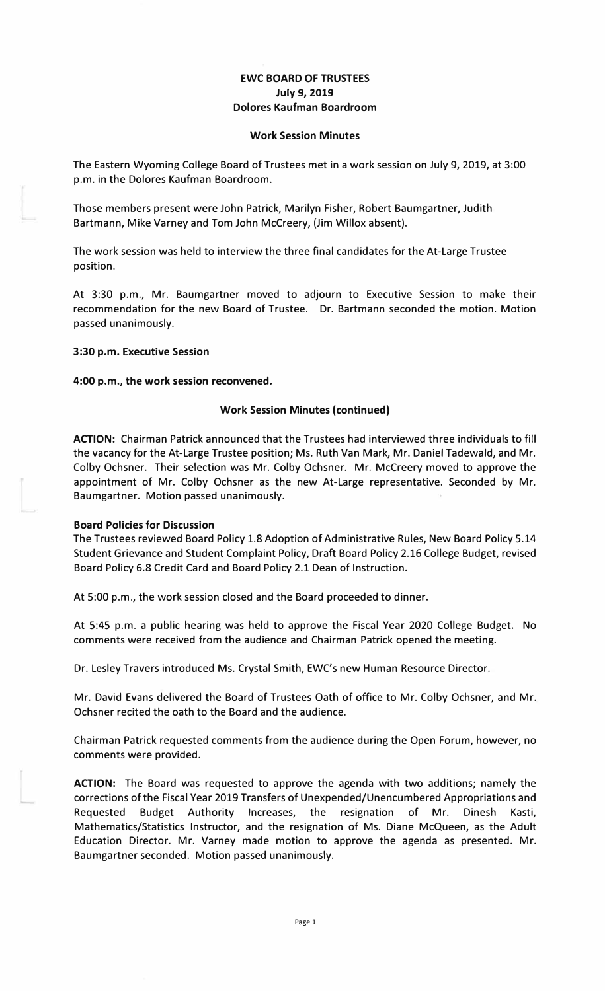# **EWC BOARD OF TRUSTEES July 9, 2019 Dolores Kaufman Boardroom**

### **Work Session Minutes**

The Eastern Wyoming College Board of Trustees met in a work session on July 9, 2019, at 3:00 p.m. in the Dolores Kaufman Boardroom.

Those members present were John Patrick, Marilyn Fisher, Robert Baumgartner, Judith Bartmann, Mike Varney and Tom John Mccreery, (Jim Willox absent).

The work session was held to interview the three final candidates for the At-Large Trustee position.

At 3:30 p.m., Mr. Baumgartner moved to adjourn to Executive Session to make their recommendation for the new Board of Trustee. Dr. Bartmann seconded the motion. Motion passed unanimously.

## **3:30 p.m. Executive Session**

## **4:00 p.m., the work session reconvened.**

## **Work Session Minutes (continued)**

**ACTION:** Chairman Patrick announced that the Trustees had interviewed three individuals to fill the vacancy for the At-Large Trustee position; Ms. Ruth Van Mark, Mr. Daniel Tadewald, and Mr. Colby Ochsner. Their selection was Mr. Colby Ochsner. Mr. Mccreery moved to approve the appointment of Mr. Colby Ochsner as the new At-Large representative. Seconded by Mr. Baumgartner. Motion passed unanimously.

## **Board Policies for Discussion**

The Trustees reviewed Board Policy 1.8 Adoption of Administrative Rules, New Board Policy 5.14 Student Grievance and Student Complaint Policy, Draft Board Policy 2.16 College Budget, revised Board Policy 6.8 Credit Card and Board Policy 2.1 Dean of Instruction.

At 5:00 p.m., the work session closed and the Board proceeded to dinner.

At 5:45 p.m. a public hearing was held to approve the Fiscal Year 2020 College Budget. No comments were received from the audience and Chairman Patrick opened the meeting.

Dr. Lesley Travers introduced Ms. Crystal Smith, EWC's new Human Resource Director.

Mr. David Evans delivered the Board of Trustees Oath of office to Mr. Colby Ochsner, and Mr. Ochsner recited the oath to the Board and the audience.

Chairman Patrick requested comments from the audience during the Open Forum, however, no comments were provided.

**ACTION:** The Board was requested to approve the agenda with two additions; namely the corrections of the Fiscal Year 2019 Transfers of Unexpended/Unencumbered Appropriations and Requested Budget Authority Increases, the resignation of Mr. Dinesh Kasti, Mathematics/Statistics Instructor, and the resignation of Ms. Diane McQueen, as the Adult Education Director. Mr. Varney made motion to approve the agenda as presented. Mr. Baumgartner seconded. Motion passed unanimously.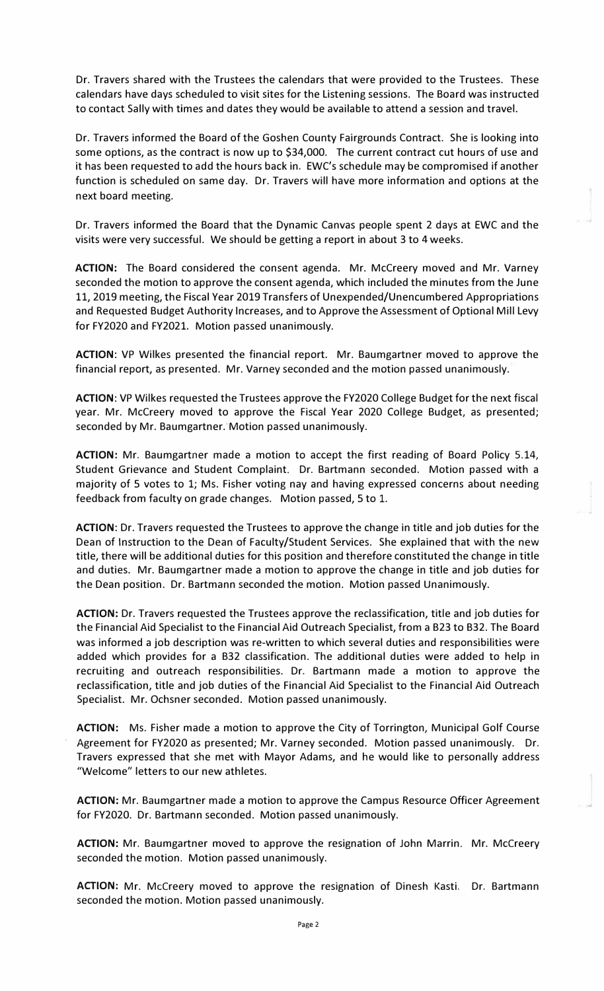Dr. Travers shared with the Trustees the calendars that were provided to the Trustees. These calendars have days scheduled to visit sites for the Listening sessions. The Board was instructed to contact Sally with times and dates they would be available to attend a session and travel.

Dr. Travers informed the Board of the Goshen County Fairgrounds Contract. She is looking into some options, as the contract is now up to \$34,000. The current contract cut hours of use and it has been requested to add the hours back in. EWC's schedule may be compromised if another function is scheduled on same day. Dr. Travers will have more information and options at the next board meeting.

Dr. Travers informed the Board that the Dynamic Canvas people spent 2 days at EWC and the visits were very successful. We should be getting a report in about 3 to 4 weeks.

**ACTION:** The Board considered the consent agenda. Mr. Mccreery moved and Mr. Varney seconded the motion to approve the consent agenda, which included the minutes from the June 11, 2019 meeting, the Fiscal Year 2019 Transfers of Unexpended/Unencumbered Appropriations and Requested Budget Authority Increases, and to Approve the Assessment of Optional Mill Levy for FY2020 and FY2021. Motion passed unanimously.

**ACTION:** VP Wilkes presented the financial report. Mr. Baumgartner moved to approve the financial report, as presented. Mr. Varney seconded and the motion passed unanimously.·

**ACTION:** VP Wilkes requested the Trustees approve the FY2020 College Budget for the next fiscal year. Mr. Mccreery moved to approve the Fiscal Year 2020 College Budget, as presented; seconded by Mr. Baumgartner. Motion passed unanimously.

**ACTION:** Mr. Baumgartner made a motion to accept the first reading of Board Policy 5.14, Student Grievance and Student Complaint. Dr. Bartmann seconded. Motion passed with a majority of 5 votes to 1; Ms. Fisher voting nay and having expressed concerns about needing feedback from faculty on grade changes. Motion passed, 5 to 1.

**ACTION:** Dr. Travers requested the Trustees to approve the change in title and job duties for the Dean of Instruction to the Dean of Faculty/Student Services. She explained that with the new title, there will be additional duties for this position and therefore constituted the change in title and duties. Mr. Baumgartner made a motion to approve the change in title and job duties for the Dean position. Dr. Bartmann seconded the motion. Motion passed Unanimously.

**ACTION:** Dr. Travers requested the Trustees approve the reclassification, title and job duties for the Financial Aid Specialist to the Financial Aid Outreach Specialist, from a B23 to B32. The Board was informed a job description was re-written to which several duties and responsibilities were added which provides for a B32 classification. The additional duties were added to help in recruiting and outreach responsibilities. Dr. Bartmann made a motion to approve the reclassification, title and job duties of the Financial Aid Specialist to the Financial Aid Outreach Specialist. Mr. Ochsner seconded. Motion passed unanimously.

**ACTION:** Ms. Fisher made a motion to approve the City of Torrington, Municipal Golf Course Agreement for FY2020 as presented; Mr. Varney seconded. Motion passed unanimously. Dr. Travers expressed that she met with Mayor Adams, and he would like to personally address "Welcome" letters to our new athletes.

**ACTION:** Mr. Baumgartner made a motion to approve the Campus Resource Officer Agreement for FY2020. Dr. Bartmann seconded. Motion passed unanimously.

**ACTION:** Mr. Baumgartner moved to approve the resignation of John Marrin. Mr. Mccreery seconded the motion. Motion passed unanimously.

**ACTION:** Mr. Mccreery moved to approve the resignation of Dinesh Kasti. Dr. Bartmann seconded the motion. Motion passed unanimously.